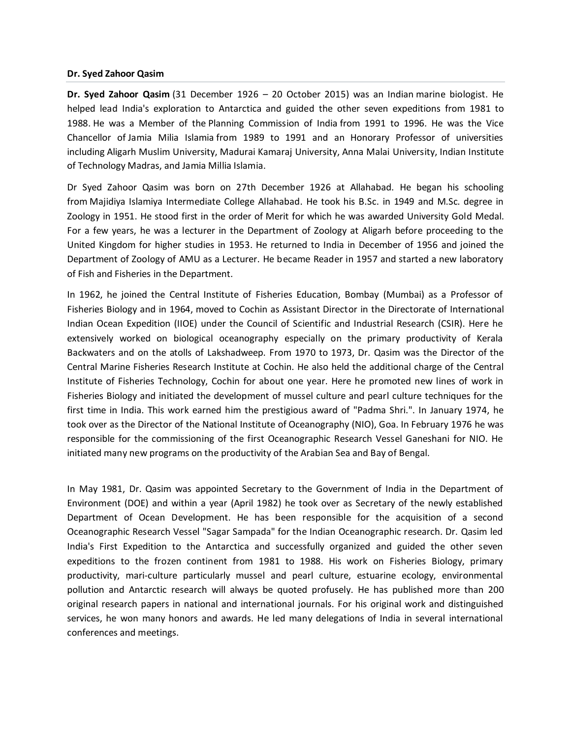## **Dr. Syed Zahoor Qasim**

**Dr. Syed Zahoor Qasim** (31 December 1926 – 20 October 2015) was an Indian [marine biologist.](https://en.wikipedia.org/wiki/Marine_biologist) He helped lead India's exploration to Antarctica and guided the other seven expeditions from 1981 to 1988. He was a Member of th[e Planning Commission of India](https://en.wikipedia.org/wiki/Planning_Commission_(India)) from 1991 to 1996. He was the Vice Chancellor of [Jamia Milia Islamia](https://en.wikipedia.org/wiki/Jamia_Milia_Islamia) from 1989 to 1991 and an Honorary Professor of universities including [Aligarh Muslim University,](https://en.wikipedia.org/wiki/Aligarh_Muslim_University) [Madurai Kamaraj University,](https://en.wikipedia.org/wiki/Madurai_Kamaraj_University) [Anna Malai University,](https://en.wikipedia.org/wiki/Anna_Malai_University) [Indian Institute](https://en.wikipedia.org/wiki/Indian_Institute_of_Technology_Madras)  [of Technology Madras,](https://en.wikipedia.org/wiki/Indian_Institute_of_Technology_Madras) and [Jamia Millia Islamia.](https://en.wikipedia.org/wiki/Jamia_Millia_Islamia)

Dr Syed Zahoor Qasim was born on 27th December 1926 at Allahabad. He began his schooling from [Majidiya Islamiya Intermediate College Allahabad.](https://en.wikipedia.org/wiki/Majidiya_Islamiya_Intermediate_College_Allahabad) He took his B.Sc. in 1949 and M.Sc. degree in Zoology in 1951. He stood first in the order of Merit for which he was awarded University Gold Medal. For a few years, he was a lecturer in the Department of Zoology at Aligarh before proceeding to the United Kingdom for higher studies in 1953. He returned to India in December of 1956 and joined the Department of Zoology of AMU as a Lecturer. He became Reader in 1957 and started a new laboratory of Fish and Fisheries in the Department.

In 1962, he joined the Central Institute of Fisheries Education, Bombay (Mumbai) as a Professor of Fisheries Biology and in 1964, moved to Cochin as Assistant Director in the Directorate of International Indian Ocean Expedition (IIOE) under the Council of Scientific and Industrial Research (CSIR). Here he extensively worked on biological oceanography especially on the primary productivity of Kerala Backwaters and on the atolls of Lakshadweep. From 1970 to 1973, Dr. Qasim was the Director of the Central Marine Fisheries Research Institute at Cochin. He also held the additional charge of the Central Institute of Fisheries Technology, Cochin for about one year. Here he promoted new lines of work in Fisheries Biology and initiated the development of mussel culture and pearl culture techniques for the first time in India. This work earned him the prestigious award of "Padma Shri.". In January 1974, he took over as the Director of the National Institute of Oceanography (NIO), Goa. In February 1976 he was responsible for the commissioning of the first Oceanographic Research Vessel Ganeshani for NIO. He initiated many new programs on the productivity of the Arabian Sea and Bay of Bengal.

In May 1981, Dr. Qasim was appointed Secretary to the Government of India in the Department of Environment (DOE) and within a year (April 1982) he took over as Secretary of the newly established Department of Ocean Development. He has been responsible for the acquisition of a second Oceanographic Research Vessel "Sagar Sampada" for the Indian Oceanographic research. Dr. Qasim led India's First Expedition to the Antarctica and successfully organized and guided the other seven expeditions to the frozen continent from 1981 to 1988. His work on Fisheries Biology, primary productivity, mari-culture particularly mussel and pearl culture, estuarine ecology, environmental pollution and Antarctic research will always be quoted profusely. He has published more than 200 original research papers in national and international journals. For his original work and distinguished services, he won many honors and awards. He led many delegations of India in several international conferences and meetings.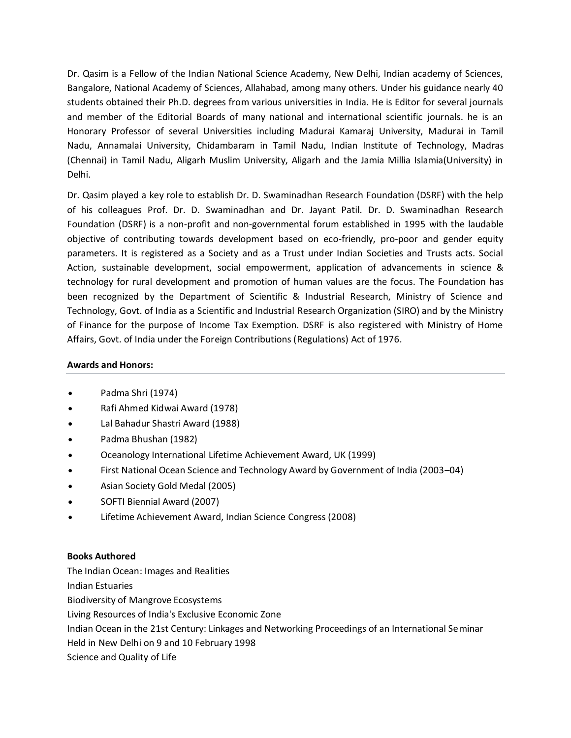Dr. Qasim is a Fellow of the Indian National Science Academy, New Delhi, Indian academy of Sciences, Bangalore, National Academy of Sciences, Allahabad, among many others. Under his guidance nearly 40 students obtained their Ph.D. degrees from various universities in India. He is Editor for several journals and member of the Editorial Boards of many national and international scientific journals. he is an Honorary Professor of several Universities including Madurai Kamaraj University, Madurai in Tamil Nadu, Annamalai University, Chidambaram in Tamil Nadu, Indian Institute of Technology, Madras (Chennai) in Tamil Nadu, Aligarh Muslim University, Aligarh and the Jamia Millia Islamia(University) in Delhi.

Dr. Qasim played a key role to establish Dr. D. Swaminadhan Research Foundation (DSRF) with the help of his colleagues Prof. Dr. D. Swaminadhan and Dr. Jayant Patil. Dr. D. Swaminadhan Research Foundation (DSRF) is a non-profit and non-governmental forum established in 1995 with the laudable objective of contributing towards development based on eco-friendly, pro-poor and gender equity parameters. It is registered as a Society and as a Trust under Indian Societies and Trusts acts. Social Action, sustainable development, social empowerment, application of advancements in science & technology for rural development and promotion of human values are the focus. The Foundation has been recognized by the Department of Scientific & Industrial Research, Ministry of Science and Technology, Govt. of India as a Scientific and Industrial Research Organization (SIRO) and by the Ministry of Finance for the purpose of Income Tax Exemption. DSRF is also registered with Ministry of Home Affairs, Govt. of India under the Foreign Contributions (Regulations) Act of 1976.

## **Awards and Honors:**

- [Padma Shri \(](https://en.wikipedia.org/wiki/Padma_Shri)1974)
- Rafi Ahmed Kidwai Award (1978)
- Lal Bahadur Shastri Award (1988)
- [Padma Bhushan](https://en.wikipedia.org/wiki/Padma_Bhushan) (1982)
- Oceanology International Lifetime Achievement Award, UK (1999)
- First National Ocean Science and Technology Award by Government of India (2003–04)
- Asian Society Gold Medal (2005)
- SOFTI Biennial Award (2007)
- Lifetime Achievement Award, Indian Science Congress (2008)

## **Books Authored**

The Indian Ocean: Images and Realities Indian Estuaries Biodiversity of Mangrove Ecosystems Living Resources of India's Exclusive Economic Zone Indian Ocean in the 21st Century: Linkages and Networking Proceedings of an International Seminar Held in New Delhi on 9 and 10 February 1998 Science and Quality of Life